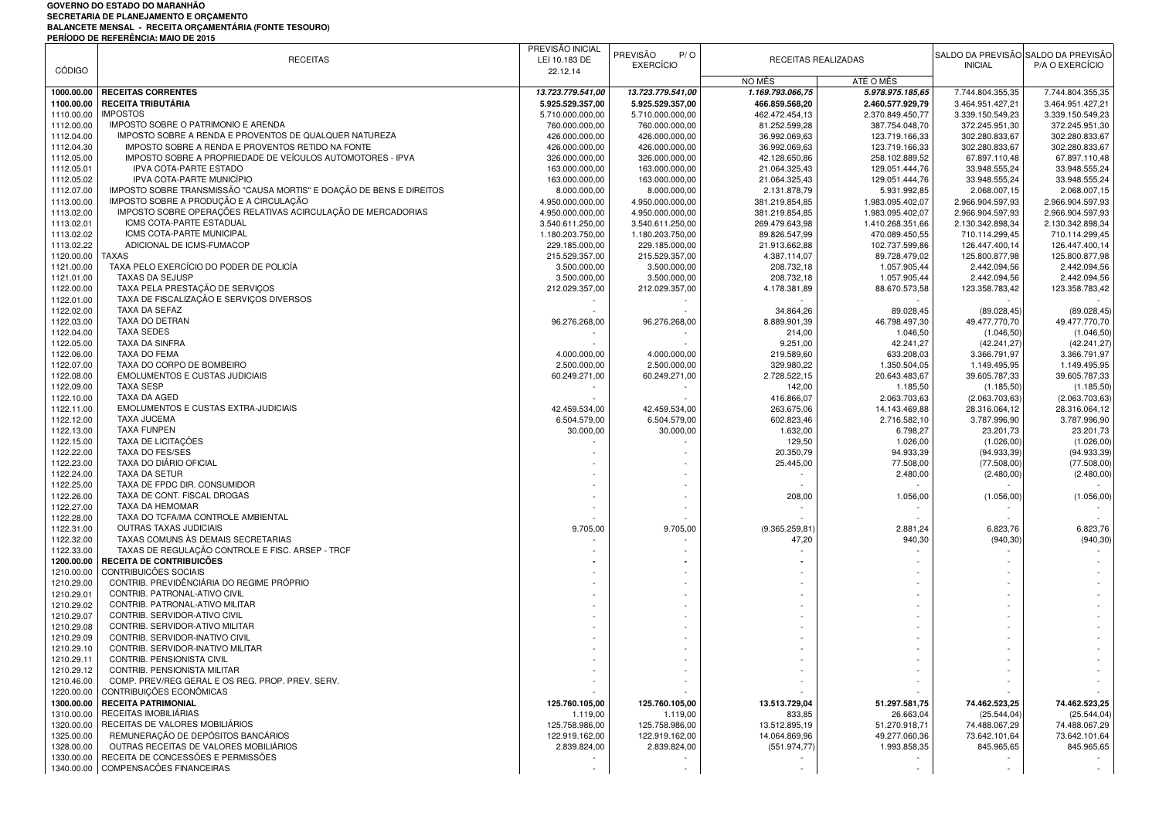## **GOVERNO DO ESTADO DO MARANHÃOSECRETARIA DE PLANEJAMENTO E ORÇAMENTO BALANCETE MENSAL - RECEITA ORÇAMENTÁRIA (FONTE TESOURO) PERÍODO DE REFERÊNCIA: MAIO DE 2015**

|                          | . בונוסטס טביונים בונבוזטות. ואוסטסטונים                                                 | PREVISÃO INICIAL                     | PREVISÃO<br>P/O                      |                                 |                                    | SALDO DA PREVISÃO SALDO DA PREVISÃO |                                    |
|--------------------------|------------------------------------------------------------------------------------------|--------------------------------------|--------------------------------------|---------------------------------|------------------------------------|-------------------------------------|------------------------------------|
|                          | <b>RECEITAS</b>                                                                          | LEI 10.183 DE                        | <b>EXERCÍCIO</b>                     | RECEITAS REALIZADAS             |                                    | <b>INICIAL</b>                      | P/A O EXERCÍCIO                    |
| <b>CÓDIGO</b>            |                                                                                          | 22.12.14                             |                                      | NO MÊS                          | ATÉ O MÊS                          |                                     |                                    |
| 1000.00.00               | <b>RECEITAS CORRENTES</b>                                                                | 13.723.779.541,00                    | 13.723.779.541,00                    | 1.169.793.066,75                | 5.978.975.185,65                   | 7.744.804.355,35                    | 7.744.804.355,35                   |
| 1100.00.00               | <b>RECEITA TRIBUTÁRIA</b>                                                                | 5.925.529.357,00                     | 5.925.529.357,00                     | 466.859.568,20                  | 2.460.577.929,79                   | 3.464.951.427,21                    | 3.464.951.427,21                   |
| 1110.00.00               | <b>IMPOSTOS</b>                                                                          | 5.710.000.000,00                     | 5.710.000.000,00                     | 462.472.454,13                  | 2.370.849.450,77                   | 3.339.150.549,23                    | 3.339.150.549,23                   |
| 1112.00.00               | IMPOSTO SOBRE O PATRIMONIO E ARENDA                                                      | 760.000.000,00                       | 760.000.000,00                       | 81.252.599,28                   | 387.754.048,70                     | 372.245.951,30                      | 372.245.951,30                     |
| 1112.04.00               | IMPOSTO SOBRE A RENDA E PROVENTOS DE QUALQUER NATUREZA                                   | 426.000.000,00                       | 426.000.000,00                       | 36.992.069,63                   | 123.719.166,33                     | 302.280.833,67                      | 302.280.833,67                     |
| 1112.04.30               | IMPOSTO SOBRE A RENDA E PROVENTOS RETIDO NA FONTE                                        | 426.000.000,00                       | 426.000.000,00                       | 36.992.069,63                   | 123.719.166,33                     | 302.280.833,67                      | 302.280.833,67                     |
| 1112.05.00               | IMPOSTO SOBRE A PROPRIEDADE DE VEÍCULOS AUTOMOTORES - IPVA                               | 326.000.000,00                       | 326.000.000,00                       | 42.128.650,86                   | 258.102.889,52                     | 67.897.110,48                       | 67.897.110,48                      |
| 1112.05.01               | IPVA COTA-PARTE ESTADO                                                                   | 163.000.000,00                       | 163.000.000,00                       | 21.064.325,43                   | 129.051.444,76                     | 33.948.555,24                       | 33.948.555,24                      |
| 1112.05.02               | IPVA COTA-PARTE MUNICÍPIO                                                                | 163.000.000,00                       | 163.000.000,00                       | 21.064.325,43                   | 129.051.444,76                     | 33.948.555,24                       | 33.948.555,24                      |
| 1112.07.00               | IMPOSTO SOBRE TRANSMISSÃO "CAUSA MORTIS" E DOACÃO DE BENS E DIREITOS                     | 8.000.000,00                         | 8.000.000,00                         | 2.131.878,79                    | 5.931.992,85                       | 2.068.007,15                        | 2.068.007,15                       |
| 1113.00.00               | IMPOSTO SOBRE A PRODUÇÃO E A CIRCULAÇÃO                                                  | 4.950.000.000,00                     | 4.950.000.000,00                     | 381.219.854,85                  | 1.983.095.402,07                   | 2.966.904.597,93                    | 2.966.904.597,93                   |
| 1113.02.00               | IMPOSTO SOBRE OPERAÇÕES RELATIVAS ACIRCULAÇÃO DE MERCADORIAS<br>ICMS COTA-PARTE ESTADUAL | 4.950.000.000,00                     | 4.950.000.000,00                     | 381.219.854,85                  | 1.983.095.402,07                   | 2.966.904.597,93                    | 2.966.904.597,93                   |
| 1113.02.01<br>1113.02.02 | <b>ICMS COTA-PARTE MUNICIPAL</b>                                                         | 3.540.611.250,00<br>1.180.203.750,00 | 3.540.611.250,00<br>1.180.203.750,00 | 269.479.643,98<br>89.826.547,99 | 1.410.268.351,66<br>470.089.450,55 | 2.130.342.898,34<br>710.114.299,45  | 2.130.342.898,34<br>710.114.299,45 |
| 1113.02.22               | ADICIONAL DE ICMS-FUMACOP                                                                | 229.185.000,00                       | 229.185.000,00                       | 21.913.662,88                   | 102.737.599,86                     | 126.447.400,14                      | 126.447.400,14                     |
| 1120.00.00               | TAXAS                                                                                    | 215.529.357,00                       | 215.529.357,00                       | 4.387.114,07                    | 89.728.479,02                      | 125.800.877,98                      | 125.800.877,98                     |
| 1121.00.00               | TAXA PELO EXERCÍCIO DO PODER DE POLICÍA                                                  | 3.500.000,00                         | 3.500.000,00                         | 208.732,18                      | 1.057.905,44                       | 2.442.094,56                        | 2.442.094,56                       |
| 1121.01.00               | <b>TAXAS DA SEJUSP</b>                                                                   | 3.500.000,00                         | 3.500.000,00                         | 208.732,18                      | 1.057.905,44                       | 2.442.094,56                        | 2.442.094,56                       |
| 1122.00.00               | TAXA PELA PRESTAÇÃO DE SERVIÇOS                                                          | 212.029.357,00                       | 212.029.357,00                       | 4.178.381,89                    | 88.670.573,58                      | 123.358.783,42                      | 123.358.783,42                     |
| 1122.01.00               | TAXA DE FISCALIZAÇÃO E SERVIÇOS DIVERSOS                                                 |                                      |                                      |                                 |                                    |                                     |                                    |
| 1122.02.00               | TAXA DA SEFAZ                                                                            |                                      |                                      | 34.864,26                       | 89.028,45                          | (89.028, 45)                        | (89.028, 45)                       |
| 1122.03.00               | TAXA DO DETRAN                                                                           | 96.276.268,00                        | 96.276.268,00                        | 8.889.901,39                    | 46.798.497,30                      | 49.477.770,70                       | 49.477.770,70                      |
| 1122.04.00               | <b>TAXA SEDES</b>                                                                        |                                      |                                      | 214,00                          | 1.046,50                           | (1.046, 50)                         | (1.046, 50)                        |
| 1122.05.00               | TAXA DA SINFRA                                                                           |                                      |                                      | 9.251,00                        | 42.241,27                          | (42.241, 27)                        | (42.241, 27)                       |
| 1122.06.00               | <b>TAXA DO FEMA</b>                                                                      | 4.000.000,00                         | 4.000.000,00                         | 219.589,60                      | 633.208,03                         | 3.366.791,97                        | 3.366.791,97                       |
| 1122.07.00               | TAXA DO CORPO DE BOMBEIRO                                                                | 2.500.000,00                         | 2.500.000,00                         | 329.980,22                      | 1.350.504,05                       | 1.149.495,95                        | 1.149.495,95                       |
| 1122.08.00               | EMOLUMENTOS E CUSTAS JUDICIAIS                                                           | 60.249.271,00                        | 60.249.271,00                        | 2.728.522,15                    | 20.643.483,67                      | 39.605.787,33                       | 39.605.787,33                      |
| 1122.09.00               | <b>TAXA SESP</b>                                                                         |                                      |                                      | 142,00                          | 1.185,50                           | (1.185, 50)                         | (1.185, 50)                        |
| 1122.10.00               | TAXA DA AGED<br>EMOLUMENTOS E CUSTAS EXTRA-JUDICIAIS                                     |                                      | 42.459.534.00                        | 416.866,07                      | 2.063.703,63                       | (2.063.703, 63)                     | (2.063.703, 63)                    |
| 1122.11.00<br>1122.12.00 | <b>TAXA JUCEMA</b>                                                                       | 42.459.534,00<br>6.504.579,00        | 6.504.579,00                         | 263.675,06<br>602.823,46        | 14.143.469,88<br>2.716.582,10      | 28.316.064,12<br>3.787.996,90       | 28.316.064,12<br>3.787.996,90      |
| 1122.13.00               | <b>TAXA FUNPEN</b>                                                                       | 30.000,00                            | 30.000,00                            | 1.632,00                        | 6.798,27                           | 23.201,73                           | 23.201,73                          |
| 1122.15.00               | TAXA DE LICITAÇÕES                                                                       |                                      |                                      | 129,50                          | 1.026,00                           | (1.026, 00)                         | (1.026, 00)                        |
| 1122.22.00               | TAXA DO FES/SES                                                                          |                                      |                                      | 20.350,79                       | 94.933,39                          | (94.933, 39)                        | (94.933, 39)                       |
| 1122.23.00               | TAXA DO DIÁRIO OFICIAL                                                                   |                                      |                                      | 25.445,00                       | 77.508,00                          | (77.508,00)                         | (77.508,00)                        |
| 1122.24.00               | <b>TAXA DA SETUR</b>                                                                     |                                      |                                      |                                 | 2.480,00                           | (2.480,00)                          | (2.480,00)                         |
| 1122.25.00               | TAXA DE FPDC DIR. CONSUMIDOR                                                             |                                      |                                      |                                 |                                    |                                     |                                    |
| 1122.26.00               | TAXA DE CONT. FISCAL DROGAS                                                              |                                      |                                      | 208,00                          | 1.056,00                           | (1.056, 00)                         | (1.056, 00)                        |
| 1122.27.00               | TAXA DA HEMOMAR                                                                          |                                      |                                      |                                 |                                    |                                     |                                    |
| 1122.28.00               | TAXA DO TCFA/MA CONTROLE AMBIENTAL                                                       |                                      |                                      |                                 |                                    |                                     |                                    |
| 1122.31.00               | <b>OUTRAS TAXAS JUDICIAIS</b>                                                            | 9.705,00                             | 9.705,00                             | (9.365.259, 81)                 | 2.881,24                           | 6.823,76                            | 6.823,76                           |
| 1122.32.00               | TAXAS COMUNS ÀS DEMAIS SECRETARIAS                                                       |                                      |                                      | 47,20                           | 940,30                             | (940, 30)                           | (940, 30)                          |
| 1122.33.00               | TAXAS DE REGULAÇÃO CONTROLE E FISC. ARSEP - TRCF                                         |                                      |                                      |                                 |                                    |                                     |                                    |
| 1200.00.00               | RECEITA DE CONTRIBUICÕES                                                                 |                                      |                                      |                                 |                                    |                                     |                                    |
| 1210.00.00               | CONTRIBUICÕES SOCIAIS                                                                    |                                      |                                      |                                 |                                    |                                     |                                    |
| 1210.29.00               | CONTRIB. PREVIDÊNCIÁRIA DO REGIME PRÓPRIO                                                |                                      |                                      |                                 |                                    |                                     |                                    |
| 1210.29.01<br>1210.29.02 | CONTRIB. PATRONAL-ATIVO CIVIL<br>CONTRIB. PATRONAL-ATIVO MILITAR                         |                                      |                                      |                                 |                                    |                                     |                                    |
| 1210.29.07               | CONTRIB. SERVIDOR-ATIVO CIVIL                                                            |                                      |                                      |                                 |                                    |                                     |                                    |
| 1210.29.08               | CONTRIB. SERVIDOR-ATIVO MILITAR                                                          |                                      |                                      |                                 |                                    |                                     |                                    |
| 1210.29.09               | CONTRIB. SERVIDOR-INATIVO CIVIL                                                          |                                      |                                      |                                 |                                    |                                     |                                    |
| 1210.29.10               | CONTRIB. SERVIDOR-INATIVO MILITAR                                                        |                                      |                                      |                                 |                                    |                                     |                                    |
| 1210.29.11               | CONTRIB. PENSIONISTA CIVIL                                                               |                                      |                                      |                                 |                                    |                                     |                                    |
| 1210.29.12               | CONTRIB. PENSIONISTA MILITAR                                                             |                                      |                                      |                                 |                                    |                                     |                                    |
| 1210.46.00               | COMP. PREV/REG GERAL E OS REG. PROP. PREV. SERV.                                         |                                      |                                      |                                 |                                    |                                     |                                    |
|                          | 1220.00.00 CONTRIBUIÇÕES ECONÔMICAS                                                      |                                      |                                      |                                 |                                    |                                     |                                    |
| 1300.00.00               | RECEITA PATRIMONIAL                                                                      | 125.760.105,00                       | 125.760.105,00                       | 13.513.729,04                   | 51.297.581,75                      | 74.462.523,25                       | 74.462.523,25                      |
| 1310.00.00               | RECEITAS IMOBILIÁRIAS                                                                    | 1.119,00                             | 1.119,00                             | 833,85                          | 26.663,04                          | (25.544, 04)                        | (25.544, 04)                       |
|                          | 1320.00.00 RECEITAS DE VALORES MOBILIÁRIOS                                               | 125.758.986,00                       | 125.758.986,00                       | 13.512.895,19                   | 51.270.918,71                      | 74.488.067.29                       | 74.488.067,29                      |
| 1325.00.00               | REMUNERAÇÃO DE DEPÓSITOS BANCÁRIOS                                                       | 122.919.162,00                       | 122.919.162,00                       | 14.064.869,96                   | 49.277.060,36                      | 73.642.101,64                       | 73.642.101,64                      |
| 1328.00.00               | OUTRAS RECEITAS DE VALORES MOBILIÁRIOS                                                   | 2.839.824,00                         | 2.839.824,00                         | (551.974, 77)                   | 1.993.858,35                       | 845.965,65                          | 845.965,65                         |
|                          | 1330.00.00 RECEITA DE CONCESSÕES E PERMISSÕES                                            |                                      |                                      |                                 |                                    |                                     |                                    |
|                          | 1340.00.00 COMPENSACÕES FINANCEIRAS                                                      |                                      |                                      |                                 |                                    |                                     |                                    |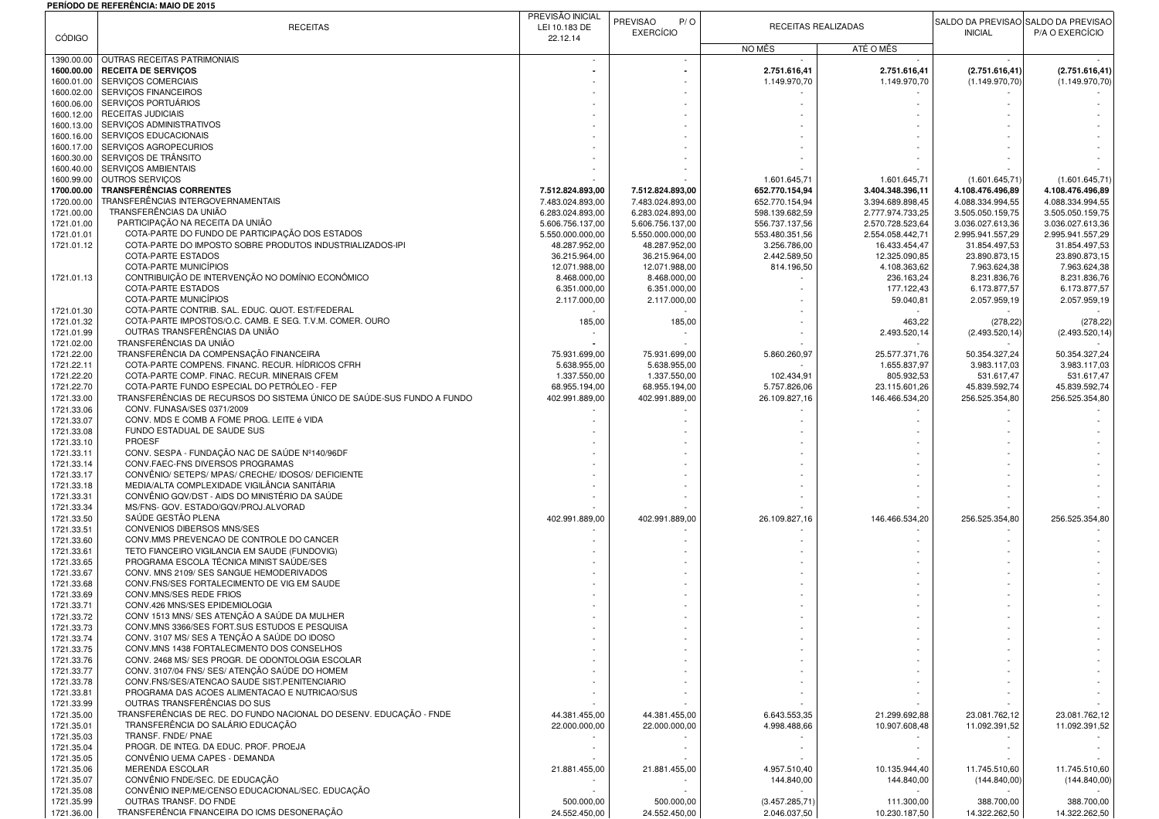## **PERÍODO DE REFERÊNCIA: MAIO DE 2015**

| <b>CÓDIGO</b>            | <b>RECEITAS</b>                                                                                              | PREVISÃO INICIAL<br>PREVISÃO<br>P/O<br>RECEITAS REALIZADAS<br>LEI 10.183 DE<br><b>EXERCÍCIO</b><br>22.12.14 |                                      |                                  | <b>INICIAL</b>                       | SALDO DA PREVISÃO SALDO DA PREVISÃO<br>P/A O EXERCÍCIO |                                      |
|--------------------------|--------------------------------------------------------------------------------------------------------------|-------------------------------------------------------------------------------------------------------------|--------------------------------------|----------------------------------|--------------------------------------|--------------------------------------------------------|--------------------------------------|
|                          |                                                                                                              |                                                                                                             |                                      | NO MÊS                           | ATÉ O MÊS                            |                                                        |                                      |
| 1390.00.00<br>1600.00.00 | OUTRAS RECEITAS PATRIMONIAIS<br><b>RECEITA DE SERVIÇOS</b>                                                   |                                                                                                             |                                      | 2.751.616,41                     | 2.751.616,41                         | (2.751.616, 41)                                        | (2.751.616, 41)                      |
| 1600.01.00               | SERVIÇOS COMERCIAIS                                                                                          |                                                                                                             |                                      | 1.149.970,70                     | 1.149.970,70                         | (1.149.970, 70                                         | (1.149.970, 70)                      |
| 1600.02.00<br>1600.06.00 | SERVIÇOS FINANCEIROS<br>SERVIÇOS PORTUÁRIOS                                                                  |                                                                                                             |                                      |                                  |                                      |                                                        |                                      |
| 1600.12.00               | RECEITAS JUDICIAIS                                                                                           |                                                                                                             |                                      |                                  |                                      |                                                        |                                      |
| 1600.13.00               | SERVIÇOS ADMINISTRATIVOS                                                                                     |                                                                                                             |                                      |                                  |                                      |                                                        |                                      |
| 1600.16.00<br>1600.17.00 | SERVIÇOS EDUCACIONAIS<br>SERVIÇOS AGROPECURIOS                                                               |                                                                                                             |                                      |                                  |                                      |                                                        |                                      |
| 1600.30.00               | SERVIÇOS DE TRÂNSITO                                                                                         |                                                                                                             |                                      |                                  |                                      |                                                        |                                      |
| 1600.40.00               | SERVIÇOS AMBIENTAIS                                                                                          |                                                                                                             |                                      |                                  |                                      |                                                        |                                      |
| 1600.99.00               | OUTROS SERVIÇOS<br><b>TRANSFERÊNCIAS CORRENTES</b>                                                           | 7.512.824.893,00                                                                                            |                                      | 1.601.645,71                     | 1.601.645,71                         | (1.601.645, 71)                                        | (1.601.645, 71)                      |
| 1700.00.00<br>1720.00.00 | TRANSFERÊNCIAS INTERGOVERNAMENTAIS                                                                           | 7.483.024.893,00                                                                                            | 7.512.824.893,00<br>7.483.024.893,00 | 652.770.154,94<br>652.770.154,94 | 3.404.348.396,11<br>3.394.689.898,45 | 4.108.476.496,89<br>4.088.334.994,55                   | 4.108.476.496,89<br>4.088.334.994,55 |
| 1721.00.00               | TRANSFERÊNCIAS DA UNIÃO                                                                                      | 6.283.024.893,00                                                                                            | 6.283.024.893,00                     | 598.139.682,59                   | 2.777.974.733,25                     | 3.505.050.159,75                                       | 3.505.050.159,75                     |
| 1721.01.00               | PARTICIPAÇÃO NA RECEITA DA UNIÃO                                                                             | 5.606.756.137,00                                                                                            | 5.606.756.137,00                     | 556.737.137,56                   | 2.570.728.523,64                     | 3.036.027.613,36                                       | 3.036.027.613,36                     |
| 1721.01.01<br>1721.01.12 | COTA-PARTE DO FUNDO DE PARTICIPAÇÃO DOS ESTADOS<br>COTA-PARTE DO IMPOSTO SOBRE PRODUTOS INDUSTRIALIZADOS-IPI | 5.550.000.000,00<br>48.287.952,00                                                                           | 5.550.000.000,00<br>48.287.952,00    | 553.480.351,56<br>3.256.786,00   | 2.554.058.442,71<br>16.433.454,47    | 2.995.941.557,29<br>31.854.497,53                      | 2.995.941.557,29<br>31.854.497,53    |
|                          | <b>COTA-PARTE ESTADOS</b>                                                                                    | 36.215.964,00                                                                                               | 36.215.964,00                        | 2.442.589,50                     | 12.325.090,85                        | 23.890.873,15                                          | 23.890.873,15                        |
|                          | COTA-PARTE MUNICÍPIOS                                                                                        | 12.071.988,00                                                                                               | 12.071.988,00                        | 814.196,50                       | 4.108.363,62                         | 7.963.624,38                                           | 7.963.624,38                         |
| 1721.01.13               | CONTRIBUIÇÃO DE INTERVENÇÃO NO DOMÍNIO ECONÔMICO<br><b>COTA-PARTE ESTADOS</b>                                | 8.468.000,00                                                                                                | 8.468.000,00                         |                                  | 236.163,24                           | 8.231.836,76                                           | 8.231.836,76                         |
|                          | COTA-PARTE MUNICÍPIOS                                                                                        | 6.351.000,00<br>2.117.000,00                                                                                | 6.351.000,00<br>2.117.000,00         |                                  | 177.122,43<br>59.040,81              | 6.173.877,57<br>2.057.959,19                           | 6.173.877,57<br>2.057.959,19         |
| 1721.01.30               | COTA-PARTE CONTRIB. SAL. EDUC. QUOT. EST/FEDERAL                                                             |                                                                                                             |                                      |                                  |                                      |                                                        |                                      |
| 1721.01.32               | COTA-PARTE IMPOSTOS/O.C. CAMB. E SEG. T.V.M. COMER. OURO                                                     | 185,00                                                                                                      | 185,00                               |                                  | 463,22                               | (278, 22)                                              | (278, 22)                            |
| 1721.01.99<br>1721.02.00 | OUTRAS TRANSFERÊNCIAS DA UNIÃO<br>TRANSFERÊNCIAS DA UNIÃO                                                    |                                                                                                             |                                      |                                  | 2.493.520,14                         | (2.493.520, 14)                                        | (2.493.520, 14)                      |
| 1721.22.00               | TRANSFERÊNCIA DA COMPENSAÇÃO FINANCEIRA                                                                      | 75.931.699,00                                                                                               | 75.931.699,00                        | 5.860.260,97                     | 25.577.371,76                        | 50.354.327,24                                          | 50.354.327,24                        |
| 1721.22.11               | COTA-PARTE COMPENS. FINANC. RECUR. HIDRICOS CFRH                                                             | 5.638.955,00                                                                                                | 5.638.955,00                         |                                  | 1.655.837,97                         | 3.983.117,03                                           | 3.983.117,03                         |
| 1721.22.20               | COTA-PARTE COMP. FINAC. RECUR. MINERAIS CFEM<br>COTA-PARTE FUNDO ESPECIAL DO PETRÓLEO - FEP                  | 1.337.550,00                                                                                                | 1.337.550,00                         | 102.434,91                       | 805.932,53                           | 531.617,47                                             | 531.617,47                           |
| 1721.22.70<br>1721.33.00 | TRANSFERÊNCIAS DE RECURSOS DO SISTEMA ÚNICO DE SAÚDE-SUS FUNDO A FUNDO                                       | 68.955.194,00<br>402.991.889,00                                                                             | 68.955.194,00<br>402.991.889,00      | 5.757.826,06<br>26.109.827,16    | 23.115.601,26<br>146.466.534,20      | 45.839.592,74<br>256.525.354,80                        | 45.839.592,74<br>256.525.354,80      |
| 1721.33.06               | CONV. FUNASA/SES 0371/2009                                                                                   |                                                                                                             |                                      |                                  |                                      |                                                        |                                      |
| 1721.33.07               | CONV. MDS E COMB A FOME PROG. LEITE é VIDA                                                                   |                                                                                                             |                                      |                                  |                                      |                                                        |                                      |
| 1721.33.08               | FUNDO ESTADUAL DE SAUDE SUS<br>PROESF                                                                        |                                                                                                             |                                      |                                  |                                      |                                                        |                                      |
| 1721.33.10<br>1721.33.11 | CONV. SESPA - FUNDAÇÃO NAC DE SAÚDE Nº140/96DF                                                               |                                                                                                             |                                      |                                  |                                      |                                                        |                                      |
| 1721.33.14               | CONV.FAEC-FNS DIVERSOS PROGRAMAS                                                                             |                                                                                                             |                                      |                                  |                                      |                                                        |                                      |
| 1721.33.17               | CONVÊNIO/ SETEPS/ MPAS/ CRECHE/ IDOSOS/ DEFICIENTE                                                           |                                                                                                             |                                      |                                  |                                      |                                                        |                                      |
| 1721.33.18<br>1721.33.31 | MEDIA/ALTA COMPLEXIDADE VIGILÂNCIA SANITÁRIA<br>CONVÊNIO GQV/DST - AIDS DO MINISTÉRIO DA SAÚDE               |                                                                                                             |                                      |                                  |                                      |                                                        |                                      |
| 1721.33.34               | MS/FNS- GOV. ESTADO/GQV/PROJ.ALVORAD                                                                         |                                                                                                             |                                      |                                  |                                      |                                                        |                                      |
| 1721.33.50               | SAÚDE GESTÃO PLENA                                                                                           | 402.991.889,00                                                                                              | 402.991.889,00                       | 26.109.827,16                    | 146.466.534,20                       | 256.525.354,80                                         | 256.525.354,80                       |
| 1721.33.51               | CONVENIOS DIBERSOS MNS/SES<br>CONV.MMS PREVENCAO DE CONTROLE DO CANCER                                       |                                                                                                             |                                      |                                  |                                      |                                                        |                                      |
| 1721.33.60<br>1721.33.61 | TETO FIANCEIRO VIGILANCIA EM SAUDE (FUNDOVIG)                                                                |                                                                                                             |                                      |                                  |                                      |                                                        |                                      |
| 1721.33.65               | PROGRAMA ESCOLA TÉCNICA MINIST SAÚDE/SES                                                                     |                                                                                                             |                                      |                                  |                                      |                                                        |                                      |
| 1721.33.67               | CONV. MNS 2109/ SES SANGUE HEMODERIVADOS                                                                     |                                                                                                             |                                      |                                  |                                      |                                                        |                                      |
| 1721.33.68<br>1721.33.69 | CONV.FNS/SES FORTALECIMENTO DE VIG EM SAUDE<br>CONV.MNS/SES REDE FRIOS                                       |                                                                                                             |                                      |                                  |                                      |                                                        |                                      |
| 1721.33.71               | CONV.426 MNS/SES EPIDEMIOLOGIA                                                                               |                                                                                                             |                                      |                                  |                                      |                                                        |                                      |
| 1721.33.72               | CONV 1513 MNS/ SES ATENÇÃO A SAÚDE DA MULHER                                                                 |                                                                                                             |                                      |                                  |                                      |                                                        |                                      |
| 1721.33.73               | CONV.MNS 3366/SES FORT.SUS ESTUDOS E PESQUISA                                                                |                                                                                                             |                                      |                                  |                                      |                                                        |                                      |
| 1721.33.74<br>1721.33.75 | CONV. 3107 MS/ SES A TENÇÃO A SAÚDE DO IDOSO<br>CONV.MNS 1438 FORTALECIMENTO DOS CONSELHOS                   |                                                                                                             |                                      |                                  |                                      |                                                        |                                      |
| 1721.33.76               | CONV. 2468 MS/ SES PROGR. DE ODONTOLOGIA ESCOLAR                                                             |                                                                                                             |                                      |                                  |                                      |                                                        |                                      |
| 1721.33.77               | CONV. 3107/04 FNS/ SES/ ATENÇÃO SAÚDE DO HOMEM                                                               |                                                                                                             |                                      |                                  |                                      |                                                        |                                      |
| 1721.33.78<br>1721.33.81 | CONV.FNS/SES/ATENCAO SAUDE SIST.PENITENCIARIO<br>PROGRAMA DAS ACOES ALIMENTACAO E NUTRICAO/SUS               |                                                                                                             |                                      |                                  |                                      |                                                        |                                      |
| 1721.33.99               | OUTRAS TRANSFERÊNCIAS DO SUS                                                                                 |                                                                                                             |                                      |                                  |                                      |                                                        |                                      |
| 1721.35.00               | TRANSFERÊNCIAS DE REC. DO FUNDO NACIONAL DO DESENV. EDUCAÇÃO - FNDE                                          | 44.381.455,00                                                                                               | 44.381.455,00                        | 6.643.553,35                     | 21.299.692,88                        | 23.081.762,12                                          | 23.081.762,12                        |
| 1721.35.01               | TRANSFERÊNCIA DO SALÁRIO EDUCAÇÃO                                                                            | 22.000.000,00                                                                                               | 22.000.000,00                        | 4.998.488,66                     | 10.907.608,48                        | 11.092.391,52                                          | 11.092.391,52                        |
| 1721.35.03<br>1721.35.04 | TRANSF. FNDE/ PNAE<br>PROGR. DE INTEG. DA EDUC. PROF. PROEJA                                                 |                                                                                                             |                                      |                                  |                                      |                                                        |                                      |
| 1721.35.05               | CONVÊNIO UEMA CAPES - DEMANDA                                                                                |                                                                                                             |                                      |                                  |                                      |                                                        |                                      |
| 1721.35.06               | <b>MERENDA ESCOLAR</b>                                                                                       | 21.881.455,00                                                                                               | 21.881.455,00                        | 4.957.510,40                     | 10.135.944,40                        | 11.745.510,60                                          | 11.745.510,60                        |
| 1721.35.07               | CONVÊNIO FNDE/SEC. DE EDUCAÇÃO<br>CONVÊNIO INEP/ME/CENSO EDUCACIONAL/SEC. EDUCAÇÃO                           |                                                                                                             |                                      | 144.840,00                       | 144.840,00                           | (144.840,00)                                           | (144.840,00)                         |
| 1721.35.08<br>1721.35.99 | OUTRAS TRANSF. DO FNDE                                                                                       | 500.000,00                                                                                                  | 500.000,00                           | (3.457.285, 71)                  | 111.300,00                           | 388.700,00                                             | 388.700,00                           |
| 1721.36.00               | TRANSFERÊNCIA FINANCEIRA DO ICMS DESONERAÇÃO                                                                 | 24.552.450,00                                                                                               | 24.552.450,00                        | 2.046.037,50                     | 10.230.187,50                        | 14.322.262,50                                          | 14.322.262,50                        |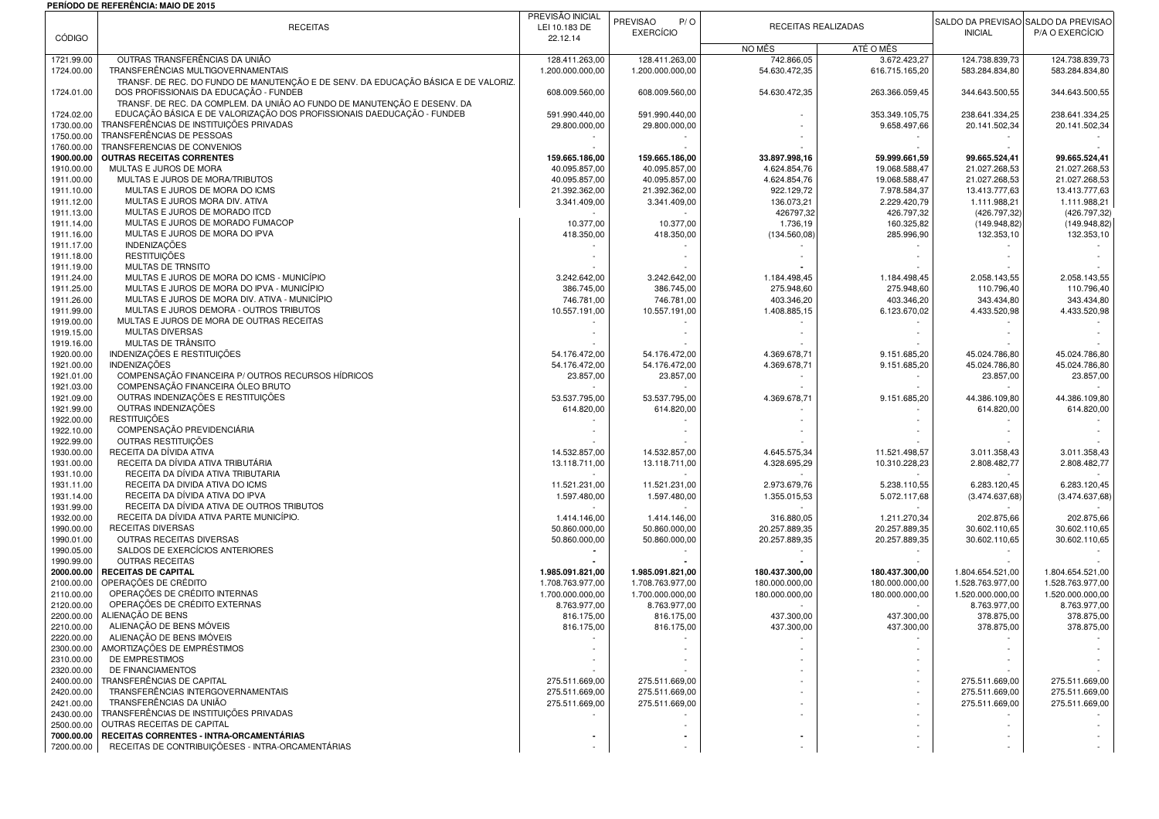## **PERÍODO DE REFERÊNCIA: MAIO DE 2015**

|                          | FLNIVDV DL NLI LNLIVVIA. MAIV DL ZVI.                                                                                    | PREVISÃO INICIAL                 | PREVISÃO<br>P/O                  |                             |                               | SALDO DA PREVISÃO SALDO DA PREVISÃO |                                  |
|--------------------------|--------------------------------------------------------------------------------------------------------------------------|----------------------------------|----------------------------------|-----------------------------|-------------------------------|-------------------------------------|----------------------------------|
| <b>CÓDIGO</b>            | <b>RECEITAS</b>                                                                                                          | LEI 10.183 DE<br>22.12.14        | <b>EXERCÍCIO</b>                 | RECEITAS REALIZADAS         |                               | <b>INICIAL</b>                      | P/A O EXERCÍCIO                  |
|                          |                                                                                                                          |                                  |                                  | NO MÊS                      | ATÉ O MÊS                     |                                     |                                  |
| 1721.99.00               | OUTRAS TRANSFERÊNCIAS DA UNIÃO                                                                                           | 128.411.263,00                   | 128.411.263,00                   | 742.866,05                  | 3.672.423,27                  | 124.738.839,73                      | 124.738.839.73                   |
| 1724.00.00               | TRANSFERÊNCIAS MULTIGOVERNAMENTAIS<br>TRANSF. DE REC. DO FUNDO DE MANUTENÇÃO E DE SENV. DA EDUCAÇÃO BÁSICA E DE VALORIZ. | 1.200.000.000,00                 | 1.200.000.000,00                 | 54.630.472,35               | 616.715.165,20                | 583.284.834,80                      | 583.284.834,80                   |
| 1724.01.00               | DOS PROFISSIONAIS DA EDUCAÇÃO - FUNDEB                                                                                   | 608.009.560,00                   | 608.009.560,00                   | 54.630.472,35               | 263.366.059,45                | 344.643.500,55                      | 344.643.500,55                   |
|                          | TRANSF. DE REC. DA COMPLEM. DA UNIÃO AO FUNDO DE MANUTENÇÃO E DESENV. DA                                                 |                                  |                                  |                             |                               |                                     |                                  |
| 1724.02.00               | EDUCAÇÃO BÁSICA E DE VALORIZAÇÃO DOS PROFISSIONAIS DAEDUCAÇÃO - FUNDEB                                                   | 591.990.440,00                   | 591.990.440,00                   |                             | 353.349.105,75                | 238.641.334,25                      | 238.641.334,25                   |
| 1730.00.00               | TRANSFERÊNCIAS DE INSTITUIÇÕES PRIVADAS<br>TRANSFERÊNCIAS DE PESSOAS                                                     | 29.800.000,00                    | 29.800.000,00                    |                             | 9.658.497,66                  | 20.141.502,34                       | 20.141.502,34                    |
| 1750.00.00<br>1760.00.00 | TRANSFERENCIAS DE CONVENIOS                                                                                              |                                  |                                  |                             |                               |                                     |                                  |
| 1900.00.00               | <b>OUTRAS RECEITAS CORRENTES</b>                                                                                         | 159.665.186,00                   | 159.665.186,00                   | 33.897.998,16               | 59.999.661,59                 | 99.665.524,41                       | 99.665.524,41                    |
| 1910.00.00               | MULTAS E JUROS DE MORA                                                                                                   | 40.095.857,00                    | 40.095.857,00                    | 4.624.854,76                | 19.068.588,47                 | 21.027.268.53                       | 21.027.268,53                    |
| 1911.00.00               | MULTAS E JUROS DE MORA/TRIBUTOS                                                                                          | 40.095.857,00                    | 40.095.857,00                    | 4.624.854,76                | 19.068.588,47                 | 21.027.268,53                       | 21.027.268,53                    |
| 1911.10.00               | MULTAS E JUROS DE MORA DO ICMS                                                                                           | 21.392.362,00                    | 21.392.362,00                    | 922.129,72                  | 7.978.584,37                  | 13.413.777,63                       | 13.413.777,63                    |
| 1911.12.00<br>1911.13.00 | MULTAS E JUROS MORA DIV. ATIVA<br>MULTAS E JUROS DE MORADO ITCD                                                          | 3.341.409,00                     | 3.341.409,00                     | 136.073,21<br>426797,32     | 2.229.420,79<br>426.797,32    | 1.111.988.21<br>(426.797, 32)       | 1.111.988,21<br>(426.797,32)     |
| 1911.14.00               | MULTAS E JUROS DE MORADO FUMACOP                                                                                         | 10.377,00                        | 10.377,00                        | 1.736,19                    | 160.325,82                    | (149.948, 82)                       | (149.948, 82)                    |
| 1911.16.00               | MULTAS E JUROS DE MORA DO IPVA                                                                                           | 418.350,00                       | 418.350,00                       | (134.560,08)                | 285.996,90                    | 132.353,10                          | 132.353,10                       |
| 1911.17.00               | <b>INDENIZAÇÕES</b>                                                                                                      |                                  |                                  |                             |                               |                                     |                                  |
| 1911.18.00               | <b>RESTITUICÕES</b>                                                                                                      |                                  |                                  |                             |                               |                                     |                                  |
| 1911.19.00               | MULTAS DE TRNSITO                                                                                                        |                                  |                                  |                             |                               |                                     |                                  |
| 1911.24.00               | MULTAS E JUROS DE MORA DO ICMS - MUNICÍPIO<br>MULTAS E JUROS DE MORA DO IPVA - MUNICÍPIO                                 | 3.242.642,00                     | 3.242.642,00                     | 1.184.498,45                | 1.184.498,45<br>275.948,60    | 2.058.143,55<br>110.796,40          | 2.058.143,55                     |
| 1911.25.00<br>1911.26.00 | MULTAS E JUROS DE MORA DIV. ATIVA - MUNICÍPIO                                                                            | 386.745,00<br>746.781,00         | 386.745,00<br>746.781,00         | 275.948,60<br>403.346,20    | 403.346,20                    | 343.434,80                          | 110.796,40<br>343.434,80         |
| 1911.99.00               | MULTAS E JUROS DEMORA - OUTROS TRIBUTOS                                                                                  | 10.557.191,00                    | 10.557.191,00                    | 1.408.885,15                | 6.123.670,02                  | 4.433.520,98                        | 4.433.520,98                     |
| 1919.00.00               | MULTAS E JUROS DE MORA DE OUTRAS RECEITAS                                                                                |                                  |                                  |                             |                               |                                     |                                  |
| 1919.15.00               | <b>MULTAS DIVERSAS</b>                                                                                                   |                                  |                                  |                             |                               |                                     |                                  |
| 1919.16.00               | MULTAS DE TRÂNSITO                                                                                                       |                                  |                                  |                             |                               |                                     |                                  |
| 1920.00.00               | INDENIZAÇÕES E RESTITUIÇÕES<br><b>INDENIZAÇÕES</b>                                                                       | 54.176.472,00                    | 54.176.472,00                    | 4.369.678,71                | 9.151.685,20                  | 45.024.786.80                       | 45.024.786.80                    |
| 1921.00.00<br>1921.01.00 | COMPENSAÇÃO FINANCEIRA P/ OUTROS RECURSOS HÍDRICOS                                                                       | 54.176.472,00<br>23.857,00       | 54.176.472,00<br>23.857,00       | 4.369.678,71                | 9.151.685,20                  | 45.024.786,80<br>23.857,00          | 45.024.786,80<br>23.857,00       |
| 1921.03.00               | COMPENSAÇÃO FINANCEIRA ÓLEO BRUTO                                                                                        |                                  |                                  |                             |                               |                                     |                                  |
| 1921.09.00               | OUTRAS INDENIZAÇÕES E RESTITUIÇÕES                                                                                       | 53.537.795.00                    | 53.537.795,00                    | 4.369.678,71                | 9.151.685,20                  | 44.386.109.80                       | 44.386.109,80                    |
| 1921.99.00               | OUTRAS INDENIZAÇÕES                                                                                                      | 614.820,00                       | 614.820,00                       |                             |                               | 614.820,00                          | 614.820,00                       |
| 1922.00.00               | <b>RESTITUIÇÕES</b>                                                                                                      |                                  |                                  |                             |                               |                                     |                                  |
| 1922.10.00               | COMPENSAÇÃO PREVIDENCIÁRIA                                                                                               |                                  |                                  |                             |                               |                                     |                                  |
| 1922.99.00<br>1930.00.00 | OUTRAS RESTITUICÕES<br>RECEITA DA DÍVIDA ATIVA                                                                           | 14.532.857,00                    | 14.532.857,00                    | 4.645.575,34                | 11.521.498,57                 | 3.011.358,43                        | 3.011.358,43                     |
| 1931.00.00               | RECEITA DA DÍVIDA ATIVA TRIBUTÁRIA                                                                                       | 13.118.711,00                    | 13.118.711,00                    | 4.328.695,29                | 10.310.228,23                 | 2.808.482,77                        | 2.808.482,77                     |
| 1931.10.00               | RECEITA DA DÍVIDA ATIVA TRIBUTARIA                                                                                       |                                  |                                  |                             |                               |                                     |                                  |
| 1931.11.00               | RECEITA DA DIVIDA ATIVA DO ICMS                                                                                          | 11.521.231,00                    | 11.521.231,00                    | 2.973.679,76                | 5.238.110,55                  | 6.283.120,45                        | 6.283.120,45                     |
| 1931.14.00               | RECEITA DA DÍVIDA ATIVA DO IPVA                                                                                          | 1.597.480,00                     | 1.597.480,00                     | 1.355.015,53                | 5.072.117,68                  | (3.474.637, 68)                     | (3.474.637,68)                   |
| 1931.99.00               | RECEITA DA DÍVIDA ATIVA DE OUTROS TRIBUTOS                                                                               |                                  |                                  |                             |                               |                                     |                                  |
| 1932.00.00<br>1990.00.00 | RECEITA DA DÍVIDA ATIVA PARTE MUNICÍPIO.<br><b>RECEITAS DIVERSAS</b>                                                     | 1.414.146,00<br>50.860.000,00    | 1.414.146,00<br>50.860.000,00    | 316.880,05<br>20.257.889,35 | 1.211.270,34<br>20.257.889,35 | 202.875,66<br>30.602.110,65         | 202.875,66<br>30.602.110,65      |
| 1990.01.00               | OUTRAS RECEITAS DIVERSAS                                                                                                 | 50.860.000,00                    | 50.860.000,00                    | 20.257.889,35               | 20.257.889,35                 | 30.602.110,65                       | 30.602.110,65                    |
| 1990.05.00               | SALDOS DE EXERCÍCIOS ANTERIORES                                                                                          |                                  |                                  |                             |                               |                                     |                                  |
| 1990.99.00               | <b>OUTRAS RECEITAS</b>                                                                                                   |                                  |                                  |                             |                               |                                     |                                  |
| 2000.00.00               | <b>RECEITAS DE CAPITAL</b>                                                                                               | 1.985.091.821,00                 | 1.985.091.821,00                 | 180.437.300,00              | 180.437.300,00                | 1.804.654.521,00                    | 1.804.654.521,00                 |
| 2100.00.00               | OPERAÇÕES DE CRÉDITO                                                                                                     | 1.708.763.977,00                 | 1.708.763.977,00                 | 180.000.000,00              | 180.000.000,00                | 1.528.763.977,00                    | 1.528.763.977,00                 |
| 2110.00.00<br>2120.00.00 | OPERAÇÕES DE CRÉDITO INTERNAS<br>OPERAÇÕES DE CRÉDITO EXTERNAS                                                           | 1.700.000.000,00<br>8.763.977,00 | 1.700.000.000,00<br>8.763.977,00 | 180.000.000,00              | 180.000.000,00                | 1.520.000.000,00<br>8.763.977,00    | 1.520.000.000,00<br>8.763.977,00 |
| 2200.00.00               | ALIENAÇÃO DE BENS                                                                                                        | 816.175,00                       | 816.175,00                       | 437.300,00                  | 437.300,00                    | 378.875,00                          | 378.875,00                       |
| 2210.00.00               | ALIENAÇÃO DE BENS MÓVEIS                                                                                                 | 816.175,00                       | 816.175,00                       | 437.300,00                  | 437.300,00                    | 378.875,00                          | 378.875,00                       |
| 2220.00.00               | ALIENAÇÃO DE BENS IMÓVEIS                                                                                                |                                  |                                  |                             |                               |                                     |                                  |
| 2300.00.00               | AMORTIZAÇÕES DE EMPRÉSTIMOS                                                                                              |                                  |                                  |                             |                               |                                     |                                  |
| 2310.00.00               | DE EMPRESTIMOS                                                                                                           |                                  |                                  |                             |                               |                                     |                                  |
| 2320.00.00               | DE FINANCIAMENTOS                                                                                                        |                                  |                                  |                             |                               |                                     |                                  |
| 2400.00.00<br>2420.00.00 | TRANSFERÊNCIAS DE CAPITAL<br>TRANSFERÊNCIAS INTERGOVERNAMENTAIS                                                          | 275.511.669,00<br>275.511.669,00 | 275.511.669,00<br>275.511.669,00 |                             |                               | 275.511.669,00<br>275.511.669,00    | 275.511.669,00<br>275.511.669,00 |
| 2421.00.00               | TRANSFERÊNCIAS DA UNIÃO                                                                                                  | 275.511.669,00                   | 275.511.669,00                   |                             |                               | 275.511.669,00                      | 275.511.669,00                   |
| 2430.00.00               | TRANSFERÊNCIAS DE INSTITUIÇÕES PRIVADAS                                                                                  |                                  |                                  |                             |                               |                                     |                                  |
|                          | 2500.00.00 OUTRAS RECEITAS DE CAPITAL                                                                                    |                                  |                                  |                             |                               |                                     |                                  |
| 7000.00.00               | RECEITAS CORRENTES - INTRA-ORCAMENTÁRIAS                                                                                 | ٠                                |                                  |                             |                               |                                     |                                  |
| 7200.00.00               | RECEITAS DE CONTRIBUIÇÕESES - INTRA-ORCAMENTÁRIAS                                                                        |                                  |                                  |                             |                               |                                     |                                  |